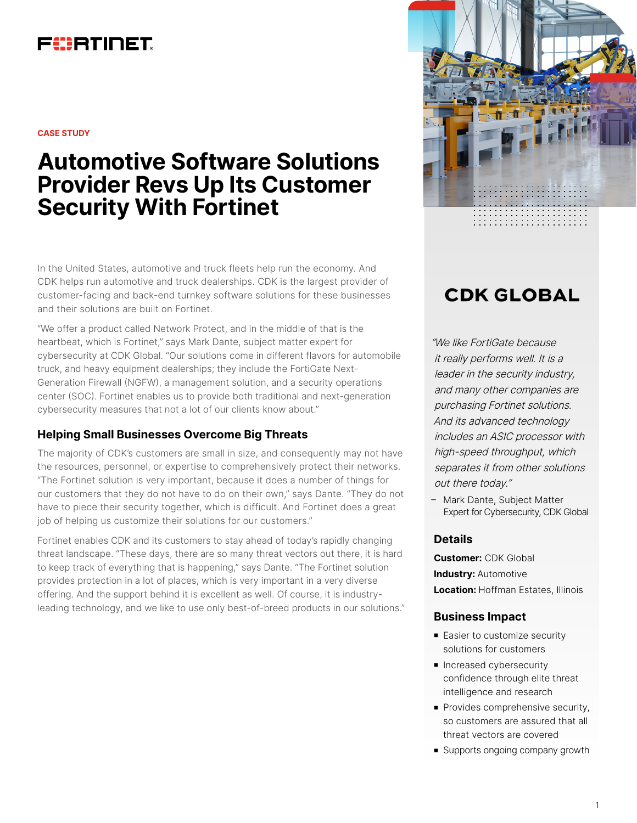

**CASE STUDY**

# **Automotive Software Solutions Provider Revs Up Its Customer Security With Fortinet**

In the United States, automotive and truck fleets help run the economy. And CDK helps run automotive and truck dealerships. CDK is the largest provider of customer-facing and back-end turnkey software solutions for these businesses and their solutions are built on Fortinet.

"We offer a product called Network Protect, and in the middle of that is the heartbeat, which is Fortinet," says Mark Dante, subject matter expert for cybersecurity at CDK Global. "Our solutions come in different flavors for automobile truck, and heavy equipment dealerships; they include the FortiGate Next-Generation Firewall (NGFW), a management solution, and a security operations center (SOC). Fortinet enables us to provide both traditional and next-generation cybersecurity measures that not a lot of our clients know about."

## **Helping Small Businesses Overcome Big Threats**

The majority of CDK's customers are small in size, and consequently may not have the resources, personnel, or expertise to comprehensively protect their networks. "The Fortinet solution is very important, because it does a number of things for our customers that they do not have to do on their own," says Dante. "They do not have to piece their security together, which is difficult. And Fortinet does a great job of helping us customize their solutions for our customers."

Fortinet enables CDK and its customers to stay ahead of today's rapidly changing threat landscape. "These days, there are so many threat vectors out there, it is hard to keep track of everything that is happening," says Dante. "The Fortinet solution provides protection in a lot of places, which is very important in a very diverse offering. And the support behind it is excellent as well. Of course, it is industryleading technology, and we like to use only best-of-breed products in our solutions."



# **CDK GLOBAL**

"We like FortiGate because it really performs well. It is a leader in the security industry, and many other companies are purchasing Fortinet solutions. And its advanced technology includes an ASIC processor with high-speed throughput, which separates it from other solutions out there today."

– Mark Dante, Subject Matter Expert for Cybersecurity, CDK Global

### **Details**

**Customer:** CDK Global **Industry: Automotive Location:** Hoffman Estates, Illinois

#### **Business Impact**

- Easier to customize security solutions for customers
- **n** Increased cybersecurity confidence through elite threat intelligence and research
- **Provides comprehensive security,** so customers are assured that all threat vectors are covered
- Supports ongoing company growth